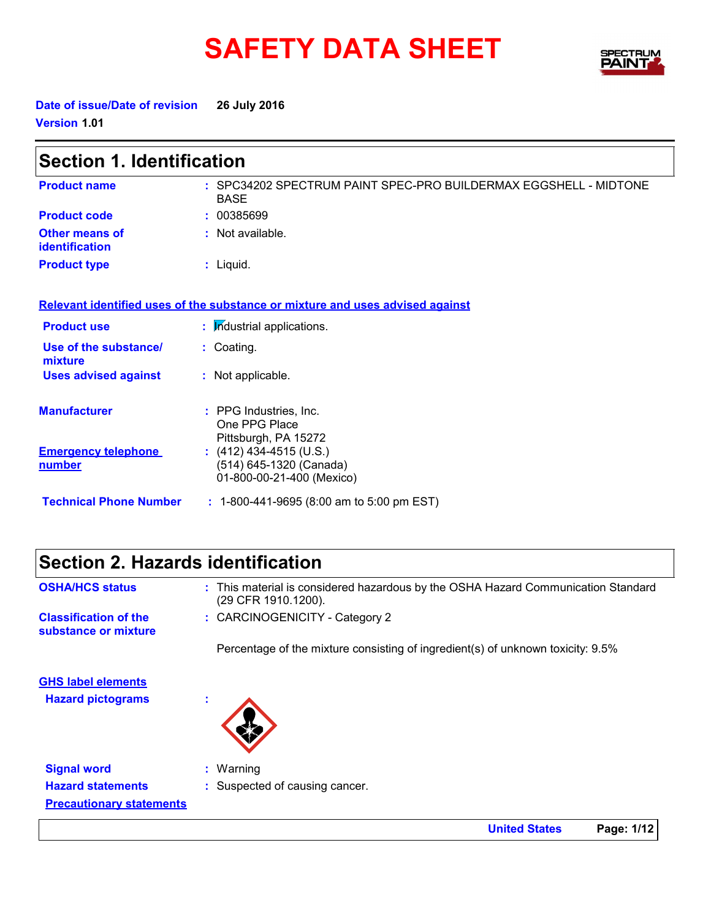# SAFETY DATA SHEET SPECTRY



**Date of issue/Date of revision 26 July 2016 Version 1.01**

| <b>Section 1. Identification</b>        |                                                                                 |  |  |
|-----------------------------------------|---------------------------------------------------------------------------------|--|--|
| <b>Product name</b>                     | : SPC34202 SPECTRUM PAINT SPEC-PRO BUILDERMAX EGGSHELL - MIDTONE<br><b>BASE</b> |  |  |
| <b>Product code</b>                     | : 00385699                                                                      |  |  |
| <b>Other means of</b><br>identification | : Not available.                                                                |  |  |
| <b>Product type</b>                     | : Liquid.                                                                       |  |  |
|                                         | Relevant identified uses of the substance or mixture and uses advised against   |  |  |
| <b>Product use</b>                      | : Industrial applications.                                                      |  |  |
| Use of the substance/<br>mixture        | : Coating.                                                                      |  |  |
| <b>Uses advised against</b>             | : Not applicable.                                                               |  |  |
| <b>Manufacturer</b>                     | : PPG Industries, Inc.<br>One PPG Place<br>Pittsburgh, PA 15272                 |  |  |
| <b>Emergency telephone</b><br>number    | $(412)$ 434-4515 (U.S.)<br>(514) 645-1320 (Canada)<br>01-800-00-21-400 (Mexico) |  |  |
| <b>Technical Phone Number</b>           | $: 1-800-441-9695$ (8:00 am to 5:00 pm EST)                                     |  |  |

### **Section 2. Hazards identification**

| <b>OSHA/HCS status</b>                                                            | : This material is considered hazardous by the OSHA Hazard Communication Standard<br>(29 CFR 1910.1200). |
|-----------------------------------------------------------------------------------|----------------------------------------------------------------------------------------------------------|
| <b>Classification of the</b><br>substance or mixture                              | : CARCINOGENICITY - Category 2                                                                           |
|                                                                                   | Percentage of the mixture consisting of ingredient(s) of unknown toxicity: 9.5%                          |
| <b>GHS label elements</b><br><b>Hazard pictograms</b>                             | ٠                                                                                                        |
| <b>Signal word</b><br><b>Hazard statements</b><br><b>Precautionary statements</b> | $:$ Warning<br>: Suspected of causing cancer.                                                            |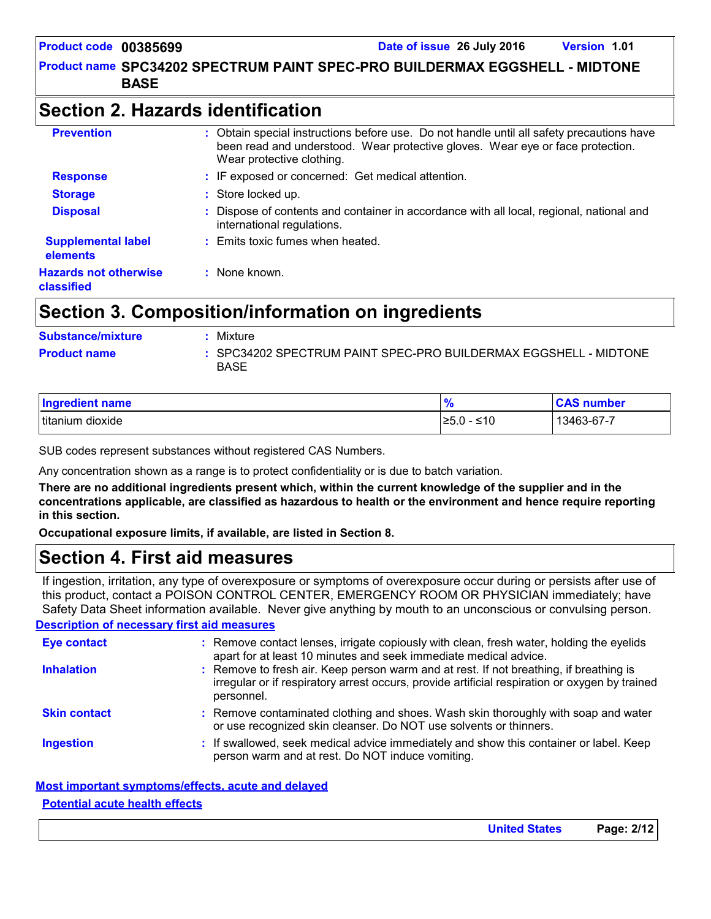### **Section 2. Hazards identification**

| <b>Prevention</b>                          | : Obtain special instructions before use. Do not handle until all safety precautions have<br>been read and understood. Wear protective gloves. Wear eye or face protection.<br>Wear protective clothing. |
|--------------------------------------------|----------------------------------------------------------------------------------------------------------------------------------------------------------------------------------------------------------|
| <b>Response</b>                            | : IF exposed or concerned: Get medical attention.                                                                                                                                                        |
| <b>Storage</b>                             | : Store locked up.                                                                                                                                                                                       |
| <b>Disposal</b>                            | Dispose of contents and container in accordance with all local, regional, national and<br>international regulations.                                                                                     |
| <b>Supplemental label</b><br>elements      | : Emits toxic fumes when heated.                                                                                                                                                                         |
| <b>Hazards not otherwise</b><br>classified | $:$ None known.                                                                                                                                                                                          |

### **Section 3. Composition/information on ingredients**

| <b>Substance/mixture</b> | • Mixture                                                                       |
|--------------------------|---------------------------------------------------------------------------------|
| <b>Product name</b>      | : SPC34202 SPECTRUM PAINT SPEC-PRO BUILDERMAX EGGSHELL - MIDTONE<br><b>BASE</b> |

| Ingredient name      | 70                | <b>CAC</b><br>number<br>$\cdot$ |
|----------------------|-------------------|---------------------------------|
| Ititanium<br>dioxide | ≤10<br>ᅎ<br>⊧≤ບ.ບ | 13463-67-7                      |

SUB codes represent substances without registered CAS Numbers.

Any concentration shown as a range is to protect confidentiality or is due to batch variation.

**There are no additional ingredients present which, within the current knowledge of the supplier and in the concentrations applicable, are classified as hazardous to health or the environment and hence require reporting in this section.**

**Occupational exposure limits, if available, are listed in Section 8.**

### **Section 4. First aid measures**

If ingestion, irritation, any type of overexposure or symptoms of overexposure occur during or persists after use of this product, contact a POISON CONTROL CENTER, EMERGENCY ROOM OR PHYSICIAN immediately; have Safety Data Sheet information available. Never give anything by mouth to an unconscious or convulsing person.

#### **Description of necessary first aid measures**

| <b>Eye contact</b>  | : Remove contact lenses, irrigate copiously with clean, fresh water, holding the eyelids<br>apart for at least 10 minutes and seek immediate medical advice.                                           |
|---------------------|--------------------------------------------------------------------------------------------------------------------------------------------------------------------------------------------------------|
| <b>Inhalation</b>   | : Remove to fresh air. Keep person warm and at rest. If not breathing, if breathing is<br>irregular or if respiratory arrest occurs, provide artificial respiration or oxygen by trained<br>personnel. |
| <b>Skin contact</b> | : Remove contaminated clothing and shoes. Wash skin thoroughly with soap and water<br>or use recognized skin cleanser. Do NOT use solvents or thinners.                                                |
| <b>Ingestion</b>    | : If swallowed, seek medical advice immediately and show this container or label. Keep<br>person warm and at rest. Do NOT induce vomiting.                                                             |

#### **Most important symptoms/effects, acute and delayed Potential acute health effects**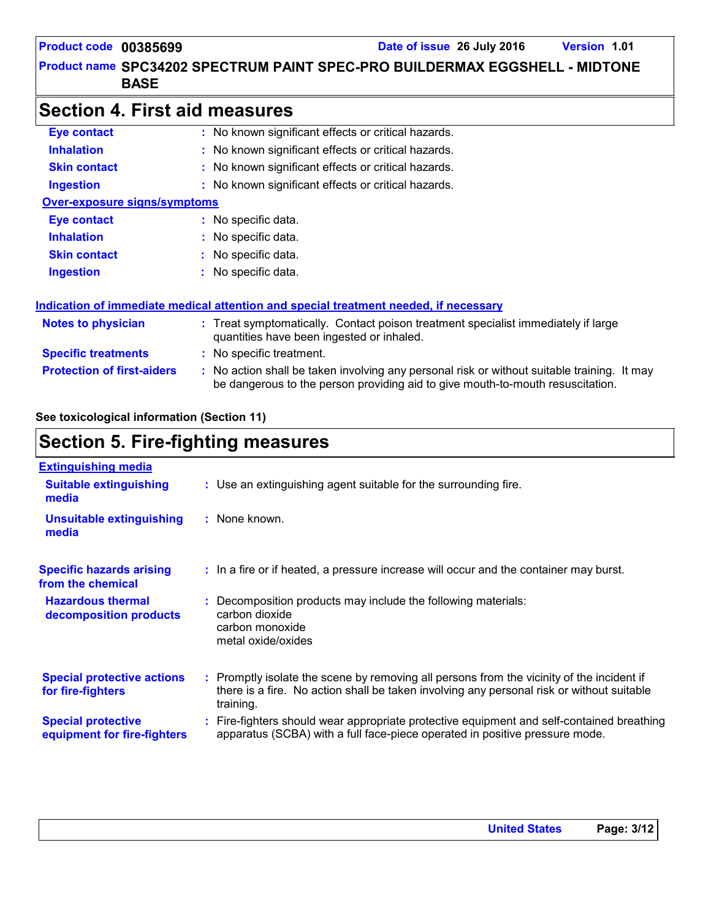### **Section 4. First aid measures**

| <b>Eye contact</b>                  | : No known significant effects or critical hazards.                                                                                                                           |  |  |
|-------------------------------------|-------------------------------------------------------------------------------------------------------------------------------------------------------------------------------|--|--|
| <b>Inhalation</b>                   | : No known significant effects or critical hazards.                                                                                                                           |  |  |
| <b>Skin contact</b>                 | : No known significant effects or critical hazards.                                                                                                                           |  |  |
| <b>Ingestion</b>                    | : No known significant effects or critical hazards.                                                                                                                           |  |  |
| <b>Over-exposure signs/symptoms</b> |                                                                                                                                                                               |  |  |
| Eye contact                         | : No specific data.                                                                                                                                                           |  |  |
| <b>Inhalation</b>                   | : No specific data.                                                                                                                                                           |  |  |
| <b>Skin contact</b>                 | : No specific data.                                                                                                                                                           |  |  |
| <b>Ingestion</b>                    | : No specific data.                                                                                                                                                           |  |  |
|                                     | <u>Indication of immediate medical attention and special treatment needed, if necessary</u>                                                                                   |  |  |
| <b>Notes to physician</b>           | : Treat symptomatically. Contact poison treatment specialist immediately if large<br>quantities have been ingested or inhaled.                                                |  |  |
| <b>Specific treatments</b>          | : No specific treatment.                                                                                                                                                      |  |  |
| <b>Protection of first-aiders</b>   | : No action shall be taken involving any personal risk or without suitable training. It may<br>be dangerous to the person providing aid to give mouth-to-mouth resuscitation. |  |  |

#### **See toxicological information (Section 11)**

### **Section 5. Fire-fighting measures**

| <b>Extinguishing media</b>                               |                                                                                                                                                                                                     |
|----------------------------------------------------------|-----------------------------------------------------------------------------------------------------------------------------------------------------------------------------------------------------|
| <b>Suitable extinguishing</b><br>media                   | : Use an extinguishing agent suitable for the surrounding fire.                                                                                                                                     |
| <b>Unsuitable extinguishing</b><br>media                 | : None known.                                                                                                                                                                                       |
| <b>Specific hazards arising</b><br>from the chemical     | : In a fire or if heated, a pressure increase will occur and the container may burst.                                                                                                               |
| <b>Hazardous thermal</b><br>decomposition products       | Decomposition products may include the following materials:<br>carbon dioxide<br>carbon monoxide<br>metal oxide/oxides                                                                              |
| <b>Special protective actions</b><br>for fire-fighters   | : Promptly isolate the scene by removing all persons from the vicinity of the incident if<br>there is a fire. No action shall be taken involving any personal risk or without suitable<br>training. |
| <b>Special protective</b><br>equipment for fire-fighters | : Fire-fighters should wear appropriate protective equipment and self-contained breathing<br>apparatus (SCBA) with a full face-piece operated in positive pressure mode.                            |
|                                                          |                                                                                                                                                                                                     |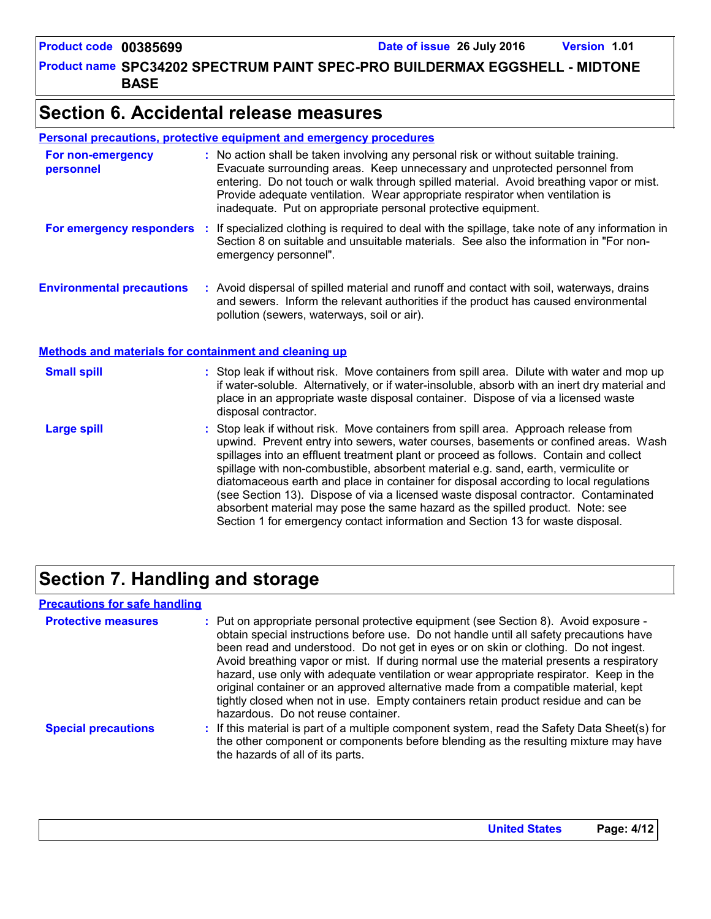Product name SPC34202 SPECTRUM PAINT SPEC-PRO BUILDERMAX EGGSHELL - MIDTONE **BASE**

### **Section 6. Accidental release measures**

| <b>Personal precautions, protective equipment and emergency procedures</b> |  |  |
|----------------------------------------------------------------------------|--|--|
|                                                                            |  |  |

| For non-emergency<br>personnel                               | : No action shall be taken involving any personal risk or without suitable training.<br>Evacuate surrounding areas. Keep unnecessary and unprotected personnel from<br>entering. Do not touch or walk through spilled material. Avoid breathing vapor or mist.<br>Provide adequate ventilation. Wear appropriate respirator when ventilation is<br>inadequate. Put on appropriate personal protective equipment.                                                                                                                                                                                                                                                                                             |
|--------------------------------------------------------------|--------------------------------------------------------------------------------------------------------------------------------------------------------------------------------------------------------------------------------------------------------------------------------------------------------------------------------------------------------------------------------------------------------------------------------------------------------------------------------------------------------------------------------------------------------------------------------------------------------------------------------------------------------------------------------------------------------------|
| For emergency responders                                     | : If specialized clothing is required to deal with the spillage, take note of any information in<br>Section 8 on suitable and unsuitable materials. See also the information in "For non-<br>emergency personnel".                                                                                                                                                                                                                                                                                                                                                                                                                                                                                           |
| <b>Environmental precautions</b>                             | : Avoid dispersal of spilled material and runoff and contact with soil, waterways, drains<br>and sewers. Inform the relevant authorities if the product has caused environmental<br>pollution (sewers, waterways, soil or air).                                                                                                                                                                                                                                                                                                                                                                                                                                                                              |
| <b>Methods and materials for containment and cleaning up</b> |                                                                                                                                                                                                                                                                                                                                                                                                                                                                                                                                                                                                                                                                                                              |
| <b>Small spill</b>                                           | : Stop leak if without risk. Move containers from spill area. Dilute with water and mop up<br>if water-soluble. Alternatively, or if water-insoluble, absorb with an inert dry material and<br>place in an appropriate waste disposal container. Dispose of via a licensed waste<br>disposal contractor.                                                                                                                                                                                                                                                                                                                                                                                                     |
| <b>Large spill</b>                                           | : Stop leak if without risk. Move containers from spill area. Approach release from<br>upwind. Prevent entry into sewers, water courses, basements or confined areas. Wash<br>spillages into an effluent treatment plant or proceed as follows. Contain and collect<br>spillage with non-combustible, absorbent material e.g. sand, earth, vermiculite or<br>diatomaceous earth and place in container for disposal according to local regulations<br>(see Section 13). Dispose of via a licensed waste disposal contractor. Contaminated<br>absorbent material may pose the same hazard as the spilled product. Note: see<br>Section 1 for emergency contact information and Section 13 for waste disposal. |

### **Section 7. Handling and storage**

#### **Precautions for safe handling**

| <b>Protective measures</b> | : Put on appropriate personal protective equipment (see Section 8). Avoid exposure -<br>obtain special instructions before use. Do not handle until all safety precautions have<br>been read and understood. Do not get in eyes or on skin or clothing. Do not ingest.<br>Avoid breathing vapor or mist. If during normal use the material presents a respiratory<br>hazard, use only with adequate ventilation or wear appropriate respirator. Keep in the<br>original container or an approved alternative made from a compatible material, kept<br>tightly closed when not in use. Empty containers retain product residue and can be<br>hazardous. Do not reuse container. |
|----------------------------|--------------------------------------------------------------------------------------------------------------------------------------------------------------------------------------------------------------------------------------------------------------------------------------------------------------------------------------------------------------------------------------------------------------------------------------------------------------------------------------------------------------------------------------------------------------------------------------------------------------------------------------------------------------------------------|
| <b>Special precautions</b> | : If this material is part of a multiple component system, read the Safety Data Sheet(s) for<br>the other component or components before blending as the resulting mixture may have<br>the hazards of all of its parts.                                                                                                                                                                                                                                                                                                                                                                                                                                                        |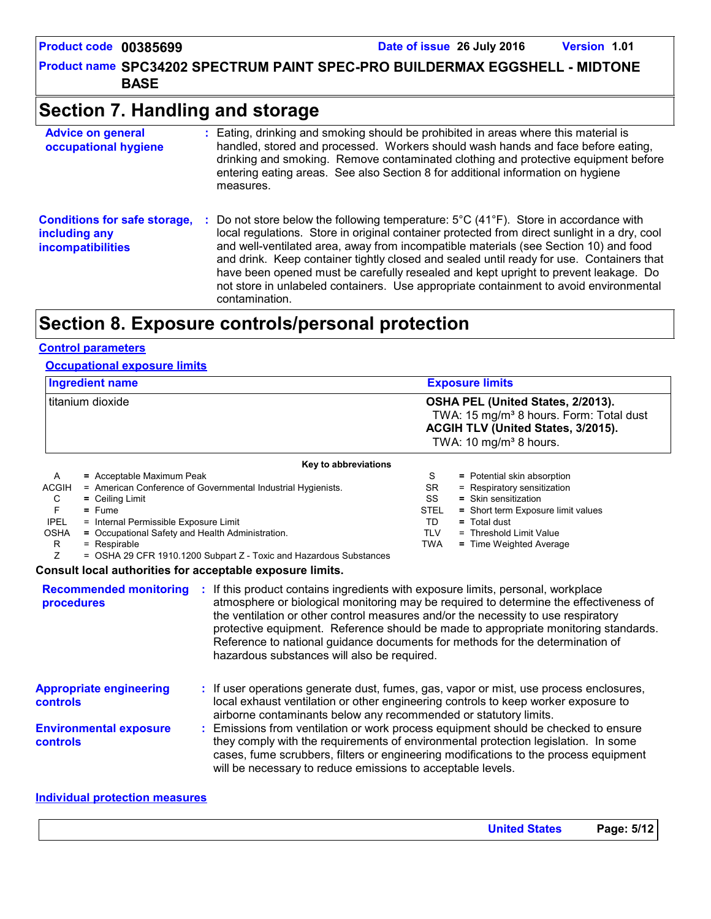Product name SPC34202 SPECTRUM PAINT SPEC-PRO BUILDERMAX EGGSHELL - MIDTONE **BASE**

### **Section 7. Handling and storage**

| <b>Advice on general</b><br>occupational hygiene                                 | : Eating, drinking and smoking should be prohibited in areas where this material is<br>handled, stored and processed. Workers should wash hands and face before eating,<br>drinking and smoking. Remove contaminated clothing and protective equipment before<br>entering eating areas. See also Section 8 for additional information on hygiene<br>measures.                                                                                                                                                                                                                                         |
|----------------------------------------------------------------------------------|-------------------------------------------------------------------------------------------------------------------------------------------------------------------------------------------------------------------------------------------------------------------------------------------------------------------------------------------------------------------------------------------------------------------------------------------------------------------------------------------------------------------------------------------------------------------------------------------------------|
| <b>Conditions for safe storage,</b><br>including any<br><i>incompatibilities</i> | Do not store below the following temperature: $5^{\circ}$ C (41 <sup>o</sup> F). Store in accordance with<br>÷.<br>local regulations. Store in original container protected from direct sunlight in a dry, cool<br>and well-ventilated area, away from incompatible materials (see Section 10) and food<br>and drink. Keep container tightly closed and sealed until ready for use. Containers that<br>have been opened must be carefully resealed and kept upright to prevent leakage. Do<br>not store in unlabeled containers. Use appropriate containment to avoid environmental<br>contamination. |

### **Section 8. Exposure controls/personal protection**

#### **Control parameters**

#### **Occupational exposure limits**

| <b>Ingredient name</b> | <b>Exposure limits</b>                                                                                                                                               |
|------------------------|----------------------------------------------------------------------------------------------------------------------------------------------------------------------|
| I titanium dioxide     | OSHA PEL (United States, 2/2013).<br>TWA: 15 mg/m <sup>3</sup> 8 hours. Form: Total dust<br>ACGIH TLV (United States, 3/2015).<br>TWA: 10 mg/m <sup>3</sup> 8 hours. |
|                        | Key to abbreviations                                                                                                                                                 |

|              | <b>Ney to appreviations</b> |                                                                                                                                                                                                                                 |            |  |                                    |  |  |  |  |  |
|--------------|-----------------------------|---------------------------------------------------------------------------------------------------------------------------------------------------------------------------------------------------------------------------------|------------|--|------------------------------------|--|--|--|--|--|
| A            |                             | = Acceptable Maximum Peak                                                                                                                                                                                                       | S          |  | = Potential skin absorption        |  |  |  |  |  |
| <b>ACGIH</b> |                             | = American Conference of Governmental Industrial Hygienists.                                                                                                                                                                    | SR.        |  | = Respiratory sensitization        |  |  |  |  |  |
| C            |                             | $=$ Ceiling Limit                                                                                                                                                                                                               | SS         |  | $=$ Skin sensitization             |  |  |  |  |  |
|              |                             | $=$ Fume                                                                                                                                                                                                                        | STEL       |  | = Short term Exposure limit values |  |  |  |  |  |
| <b>IPEL</b>  |                             | = Internal Permissible Exposure Limit                                                                                                                                                                                           | TD         |  | $=$ Total dust                     |  |  |  |  |  |
| <b>OSHA</b>  |                             | = Occupational Safety and Health Administration.                                                                                                                                                                                | <b>TLV</b> |  | = Threshold Limit Value            |  |  |  |  |  |
| R            |                             | $=$ Respirable                                                                                                                                                                                                                  | TWA        |  | = Time Weighted Average            |  |  |  |  |  |
|              |                             | = OSHA 29 CFR 1910.1200 Subpart Z - Toxic and Hazardous Substances                                                                                                                                                              |            |  |                                    |  |  |  |  |  |
|              |                             | $\sim$ . The contract of the contract of the contract of the contract of the contract of the contract of the contract of the contract of the contract of the contract of the contract of the contract of the contract of the co |            |  |                                    |  |  |  |  |  |

#### **Consult local authorities for acceptable exposure limits.**

| <b>Recommended monitoring</b><br>procedures       | If this product contains ingredients with exposure limits, personal, workplace<br>atmosphere or biological monitoring may be required to determine the effectiveness of<br>the ventilation or other control measures and/or the necessity to use respiratory<br>protective equipment. Reference should be made to appropriate monitoring standards.<br>Reference to national guidance documents for methods for the determination of<br>hazardous substances will also be required. |
|---------------------------------------------------|-------------------------------------------------------------------------------------------------------------------------------------------------------------------------------------------------------------------------------------------------------------------------------------------------------------------------------------------------------------------------------------------------------------------------------------------------------------------------------------|
| <b>Appropriate engineering</b><br><b>controls</b> | : If user operations generate dust, fumes, gas, vapor or mist, use process enclosures,<br>local exhaust ventilation or other engineering controls to keep worker exposure to<br>airborne contaminants below any recommended or statutory limits.                                                                                                                                                                                                                                    |
| <b>Environmental exposure</b><br><b>controls</b>  | Emissions from ventilation or work process equipment should be checked to ensure<br>they comply with the requirements of environmental protection legislation. In some<br>cases, fume scrubbers, filters or engineering modifications to the process equipment<br>will be necessary to reduce emissions to acceptable levels.                                                                                                                                                       |

#### **Individual protection measures**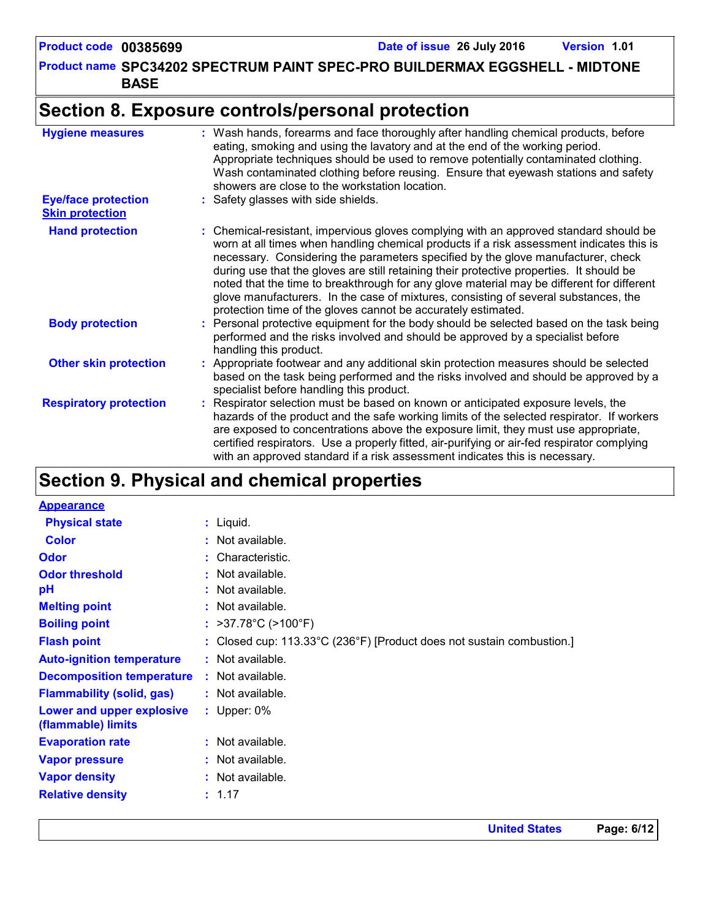### **Section 8. Exposure controls/personal protection**

| <b>Hygiene measures</b>                              | : Wash hands, forearms and face thoroughly after handling chemical products, before<br>eating, smoking and using the lavatory and at the end of the working period.<br>Appropriate techniques should be used to remove potentially contaminated clothing.<br>Wash contaminated clothing before reusing. Ensure that eyewash stations and safety<br>showers are close to the workstation location.                                                                                                                                                                                                                      |
|------------------------------------------------------|------------------------------------------------------------------------------------------------------------------------------------------------------------------------------------------------------------------------------------------------------------------------------------------------------------------------------------------------------------------------------------------------------------------------------------------------------------------------------------------------------------------------------------------------------------------------------------------------------------------------|
| <b>Eye/face protection</b><br><b>Skin protection</b> | : Safety glasses with side shields.                                                                                                                                                                                                                                                                                                                                                                                                                                                                                                                                                                                    |
| <b>Hand protection</b>                               | : Chemical-resistant, impervious gloves complying with an approved standard should be<br>worn at all times when handling chemical products if a risk assessment indicates this is<br>necessary. Considering the parameters specified by the glove manufacturer, check<br>during use that the gloves are still retaining their protective properties. It should be<br>noted that the time to breakthrough for any glove material may be different for different<br>glove manufacturers. In the case of mixtures, consisting of several substances, the<br>protection time of the gloves cannot be accurately estimated. |
| <b>Body protection</b>                               | : Personal protective equipment for the body should be selected based on the task being<br>performed and the risks involved and should be approved by a specialist before<br>handling this product.                                                                                                                                                                                                                                                                                                                                                                                                                    |
| <b>Other skin protection</b>                         | : Appropriate footwear and any additional skin protection measures should be selected<br>based on the task being performed and the risks involved and should be approved by a<br>specialist before handling this product.                                                                                                                                                                                                                                                                                                                                                                                              |
| <b>Respiratory protection</b>                        | : Respirator selection must be based on known or anticipated exposure levels, the<br>hazards of the product and the safe working limits of the selected respirator. If workers<br>are exposed to concentrations above the exposure limit, they must use appropriate,<br>certified respirators. Use a properly fitted, air-purifying or air-fed respirator complying<br>with an approved standard if a risk assessment indicates this is necessary.                                                                                                                                                                     |

## **Section 9. Physical and chemical properties**

| <b>Appearance</b>                               |                                                                       |
|-------------------------------------------------|-----------------------------------------------------------------------|
| <b>Physical state</b>                           | $:$ Liquid.                                                           |
| <b>Color</b>                                    | : Not available.                                                      |
| <b>Odor</b>                                     | : Characteristic.                                                     |
| <b>Odor threshold</b>                           | $:$ Not available.                                                    |
| pH                                              | : Not available.                                                      |
| <b>Melting point</b>                            | : Not available.                                                      |
| <b>Boiling point</b>                            | : $>37.78^{\circ}$ C ( $>100^{\circ}$ F)                              |
| <b>Flash point</b>                              | : Closed cup: 113.33°C (236°F) [Product does not sustain combustion.] |
| <b>Auto-ignition temperature</b>                | : Not available.                                                      |
| <b>Decomposition temperature</b>                | $:$ Not available.                                                    |
| <b>Flammability (solid, gas)</b>                | : Not available.                                                      |
| Lower and upper explosive<br>(flammable) limits | : Upper: $0\%$                                                        |
| <b>Evaporation rate</b>                         | : Not available.                                                      |
| <b>Vapor pressure</b>                           | : Not available.                                                      |
| <b>Vapor density</b>                            | : Not available.                                                      |
| <b>Relative density</b>                         | : 1.17                                                                |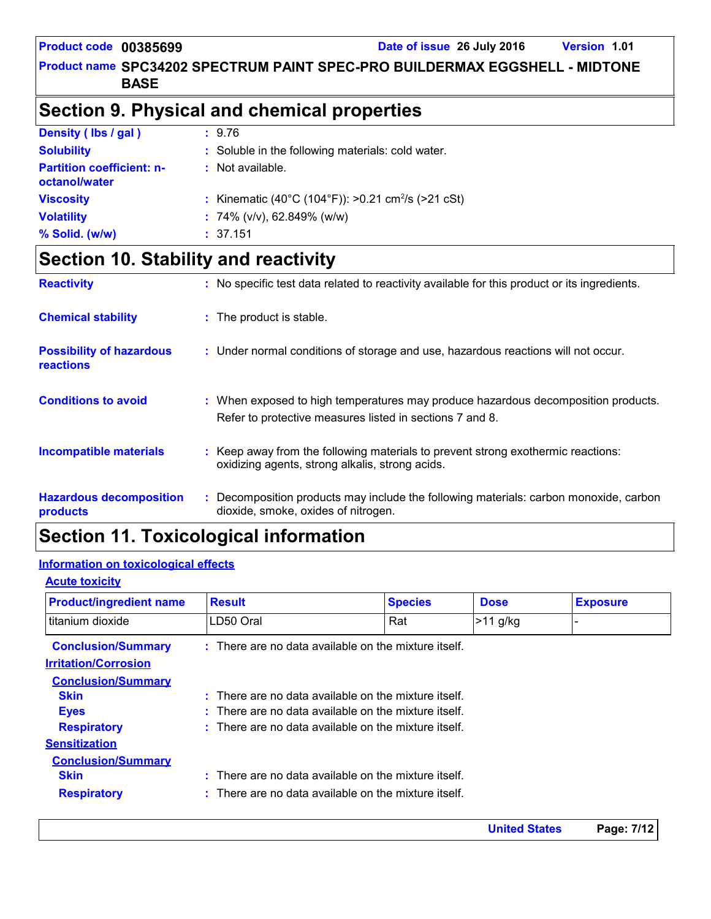#### Product name SPC34202 SPECTRUM PAINT SPEC-PRO BUILDERMAX EGGSHELL - MIDTONE **BASE**

### **Section 9. Physical and chemical properties**

| Density (lbs / gal)                               | : 9.76                                                         |
|---------------------------------------------------|----------------------------------------------------------------|
| <b>Solubility</b>                                 | : Soluble in the following materials: cold water.              |
| <b>Partition coefficient: n-</b><br>octanol/water | : Not available.                                               |
| <b>Viscosity</b>                                  | : Kinematic (40°C (104°F)): >0.21 cm <sup>2</sup> /s (>21 cSt) |
| <b>Volatility</b>                                 | : $74\%$ (v/v), 62.849% (w/w)                                  |
| % Solid. (w/w)                                    | : 37.151                                                       |

### **Section 10. Stability and reactivity**

| <b>Reactivity</b>                                   | : No specific test data related to reactivity available for this product or its ingredients.                                                  |
|-----------------------------------------------------|-----------------------------------------------------------------------------------------------------------------------------------------------|
| <b>Chemical stability</b>                           | : The product is stable.                                                                                                                      |
| <b>Possibility of hazardous</b><br><b>reactions</b> | : Under normal conditions of storage and use, hazardous reactions will not occur.                                                             |
| <b>Conditions to avoid</b>                          | : When exposed to high temperatures may produce hazardous decomposition products.<br>Refer to protective measures listed in sections 7 and 8. |
| <b>Incompatible materials</b>                       | : Keep away from the following materials to prevent strong exothermic reactions:<br>oxidizing agents, strong alkalis, strong acids.           |
| <b>Hazardous decomposition</b><br>products          | : Decomposition products may include the following materials: carbon monoxide, carbon<br>dioxide, smoke, oxides of nitrogen.                  |

### **Section 11. Toxicological information**

#### **Information on toxicological effects**

| <b>Product/ingredient name</b> | <b>Result</b>                                                   | <b>Species</b> | <b>Dose</b> | <b>Exposure</b> |  |  |
|--------------------------------|-----------------------------------------------------------------|----------------|-------------|-----------------|--|--|
| l titanium dioxide             | LD50 Oral                                                       | Rat            | $>11$ g/kg  |                 |  |  |
| <b>Conclusion/Summary</b>      | : There are no data available on the mixture itself.            |                |             |                 |  |  |
| <b>Irritation/Corrosion</b>    |                                                                 |                |             |                 |  |  |
| <b>Conclusion/Summary</b>      |                                                                 |                |             |                 |  |  |
| <b>Skin</b>                    | $\therefore$ There are no data available on the mixture itself. |                |             |                 |  |  |
| <b>Eyes</b>                    | : There are no data available on the mixture itself.            |                |             |                 |  |  |
| <b>Respiratory</b>             | : There are no data available on the mixture itself.            |                |             |                 |  |  |
| <b>Sensitization</b>           |                                                                 |                |             |                 |  |  |
| <b>Conclusion/Summary</b>      |                                                                 |                |             |                 |  |  |
| <b>Skin</b>                    | There are no data available on the mixture itself.<br>t.        |                |             |                 |  |  |
| <b>Respiratory</b>             | $\therefore$ There are no data available on the mixture itself. |                |             |                 |  |  |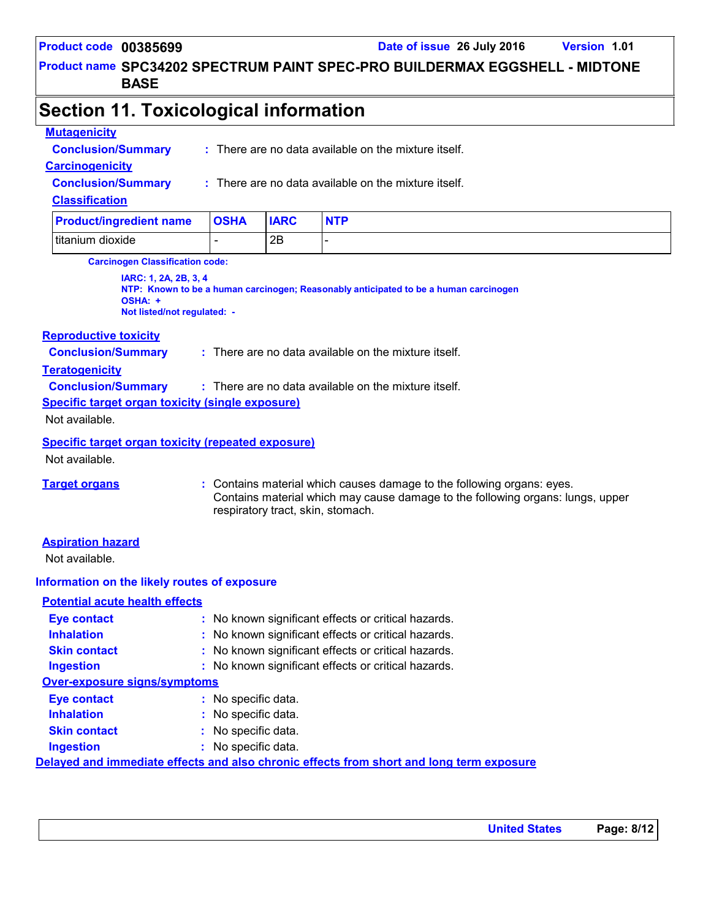Product name SPC34202 SPECTRUM PAINT SPEC-PRO BUILDERMAX EGGSHELL - MIDTONE **BASE**

### **Section 11. Toxicological information**

#### **Mutagenicity**

**Conclusion/Summary :** There are no data available on the mixture itself.

#### **Carcinogenicity**

**Conclusion/Summary :** There are no data available on the mixture itself.

#### **Classification**

| <b>Product/ingredient name</b> | <b>OSHA</b> | <b>IARC</b> | <b>NTP</b> |
|--------------------------------|-------------|-------------|------------|
| titanium dioxide               |             | 2B          |            |

**Carcinogen Classification code:**

**IARC: 1, 2A, 2B, 3, 4 NTP: Known to be a human carcinogen; Reasonably anticipated to be a human carcinogen OSHA: + Not listed/not regulated: -**

#### **Reproductive toxicity**

**Conclusion/Summary :** There are no data available on the mixture itself.

#### **Teratogenicity**

**Conclusion/Summary :** There are no data available on the mixture itself.

**Specific target organ toxicity (single exposure)**

Not available.

#### **Specific target organ toxicity (repeated exposure)**

Not available.

**Target organs :** Contains material which causes damage to the following organs: eyes. Contains material which may cause damage to the following organs: lungs, upper respiratory tract, skin, stomach.

#### **Aspiration hazard**

Not available.

#### **Information on the likely routes of exposure**

| <b>Potential acute health effects</b> |                                                                                          |
|---------------------------------------|------------------------------------------------------------------------------------------|
| <b>Eye contact</b>                    | : No known significant effects or critical hazards.                                      |
| <b>Inhalation</b>                     | : No known significant effects or critical hazards.                                      |
| <b>Skin contact</b>                   | : No known significant effects or critical hazards.                                      |
| <b>Ingestion</b>                      | : No known significant effects or critical hazards.                                      |
| <b>Over-exposure signs/symptoms</b>   |                                                                                          |
| <b>Eye contact</b>                    | : No specific data.                                                                      |
| <b>Inhalation</b>                     | : No specific data.                                                                      |
| <b>Skin contact</b>                   | : No specific data.                                                                      |
| <b>Ingestion</b>                      | : No specific data.                                                                      |
|                                       | Delayed and immediate effects and also chronic effects from short and long term exposure |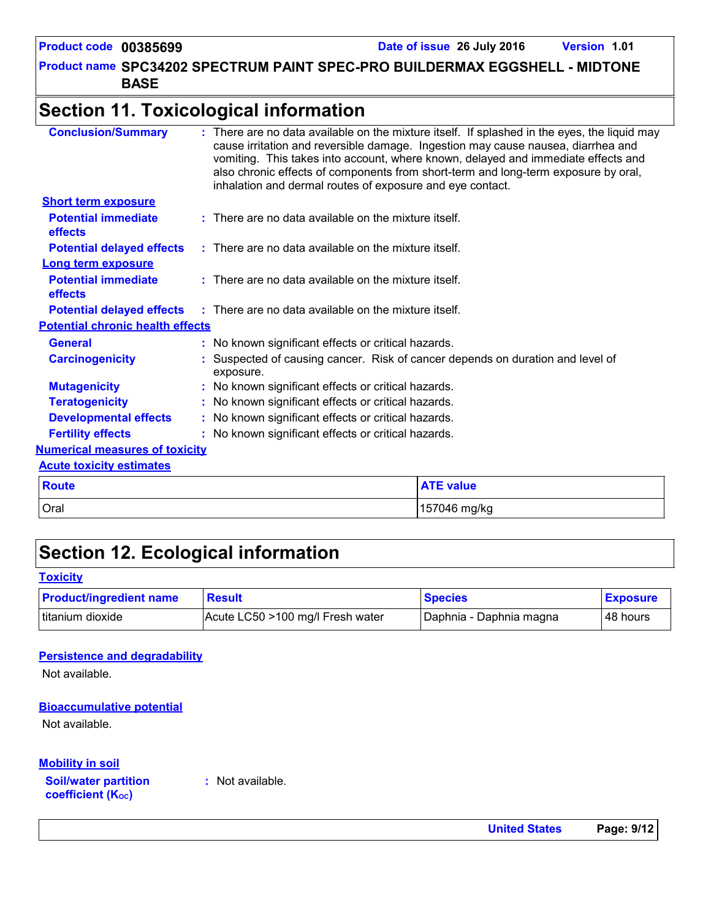Product name SPC34202 SPECTRUM PAINT SPEC-PRO BUILDERMAX EGGSHELL - MIDTONE **BASE**

### **Section 11. Toxicological information**

| <b>Conclusion/Summary</b>                    |              | inhalation and dermal routes of exposure and eye contact.                                   | : There are no data available on the mixture itself. If splashed in the eyes, the liquid may<br>cause irritation and reversible damage. Ingestion may cause nausea, diarrhea and<br>vomiting. This takes into account, where known, delayed and immediate effects and<br>also chronic effects of components from short-term and long-term exposure by oral, |  |  |
|----------------------------------------------|--------------|---------------------------------------------------------------------------------------------|-------------------------------------------------------------------------------------------------------------------------------------------------------------------------------------------------------------------------------------------------------------------------------------------------------------------------------------------------------------|--|--|
| <b>Short term exposure</b>                   |              |                                                                                             |                                                                                                                                                                                                                                                                                                                                                             |  |  |
| <b>Potential immediate</b><br><b>effects</b> |              | $:$ There are no data available on the mixture itself.                                      |                                                                                                                                                                                                                                                                                                                                                             |  |  |
| <b>Potential delayed effects</b>             |              | $\therefore$ There are no data available on the mixture itself.                             |                                                                                                                                                                                                                                                                                                                                                             |  |  |
| Long term exposure                           |              |                                                                                             |                                                                                                                                                                                                                                                                                                                                                             |  |  |
| <b>Potential immediate</b><br>effects        |              | $:$ There are no data available on the mixture itself.                                      |                                                                                                                                                                                                                                                                                                                                                             |  |  |
|                                              |              | <b>Potential delayed effects</b> : There are no data available on the mixture itself.       |                                                                                                                                                                                                                                                                                                                                                             |  |  |
| <b>Potential chronic health effects</b>      |              |                                                                                             |                                                                                                                                                                                                                                                                                                                                                             |  |  |
| <b>General</b>                               |              | : No known significant effects or critical hazards.                                         |                                                                                                                                                                                                                                                                                                                                                             |  |  |
| <b>Carcinogenicity</b>                       |              | : Suspected of causing cancer. Risk of cancer depends on duration and level of<br>exposure. |                                                                                                                                                                                                                                                                                                                                                             |  |  |
| <b>Mutagenicity</b>                          |              | : No known significant effects or critical hazards.                                         |                                                                                                                                                                                                                                                                                                                                                             |  |  |
| <b>Teratogenicity</b>                        |              | : No known significant effects or critical hazards.                                         |                                                                                                                                                                                                                                                                                                                                                             |  |  |
| <b>Developmental effects</b>                 |              | : No known significant effects or critical hazards.                                         |                                                                                                                                                                                                                                                                                                                                                             |  |  |
| <b>Fertility effects</b>                     |              | : No known significant effects or critical hazards.                                         |                                                                                                                                                                                                                                                                                                                                                             |  |  |
| <b>Numerical measures of toxicity</b>        |              |                                                                                             |                                                                                                                                                                                                                                                                                                                                                             |  |  |
| <b>Acute toxicity estimates</b>              |              |                                                                                             |                                                                                                                                                                                                                                                                                                                                                             |  |  |
| <b>Route</b>                                 |              |                                                                                             | <b>ATE value</b>                                                                                                                                                                                                                                                                                                                                            |  |  |
| Oral                                         | 157046 mg/kg |                                                                                             |                                                                                                                                                                                                                                                                                                                                                             |  |  |

### **Section 12. Ecological information**

#### **Toxicity**

| <b>Product/ingredient name</b> | <b>Result</b>                    | <b>Species</b>          | <b>Exposure</b> |
|--------------------------------|----------------------------------|-------------------------|-----------------|
| Ititanium dioxide              | Acute LC50 >100 mg/l Fresh water | Daphnia - Daphnia magna | 48 hours        |

#### **Persistence and degradability**

Not available.

#### **Bioaccumulative potential**

Not available.

#### **Mobility in soil**

**Soil/water partition coefficient (KOC)**

**:** Not available.

**United States Page: 9/12**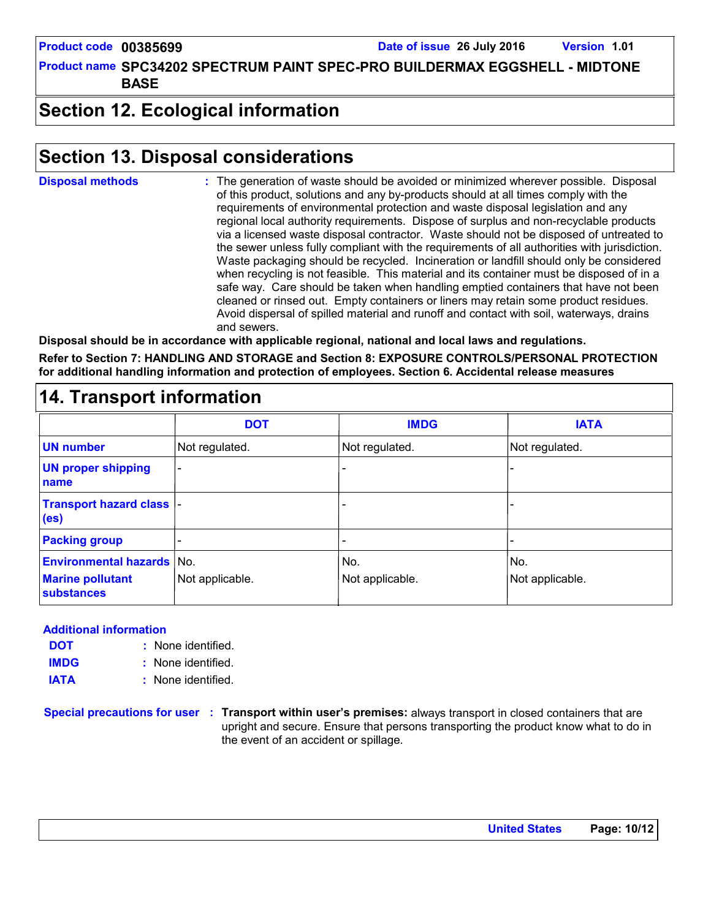Product name SPC34202 SPECTRUM PAINT SPEC-PRO BUILDERMAX EGGSHELL - MIDTONE **BASE**

### **Section 12. Ecological information**

### **Section 13. Disposal considerations**

The generation of waste should be avoided or minimized wherever possible. Disposal of this product, solutions and any by-products should at all times comply with the requirements of environmental protection and waste disposal legislation and any regional local authority requirements. Dispose of surplus and non-recyclable products via a licensed waste disposal contractor. Waste should not be disposed of untreated to the sewer unless fully compliant with the requirements of all authorities with jurisdiction. Waste packaging should be recycled. Incineration or landfill should only be considered when recycling is not feasible. This material and its container must be disposed of in a safe way. Care should be taken when handling emptied containers that have not been cleaned or rinsed out. Empty containers or liners may retain some product residues. Avoid dispersal of spilled material and runoff and contact with soil, waterways, drains and sewers. **Disposal methods :**

**Disposal should be in accordance with applicable regional, national and local laws and regulations. Refer to Section 7: HANDLING AND STORAGE and Section 8: EXPOSURE CONTROLS/PERSONAL PROTECTION for additional handling information and protection of employees. Section 6. Accidental release measures**

#### **14. Transport information** - - - - - - Not regulated. - - Not regulated. Not regulated. **DOT IMDG IATA UN number UN proper shipping name Transport hazard class (es) Packing group Environmental hazards** No. No. No. No. No. No. No. **Marine pollutant substances** Not applicable.  $\vert$  Not applicable.  $\vert$  Not applicable.  $\vert$  Not applicable.

#### **Additional information**

- None identified. **:** None identified. **: DOT IMDG**
- **IATA :** None identified.

**Special precautions for user Transport within user's premises:** always transport in closed containers that are **:** upright and secure. Ensure that persons transporting the product know what to do in the event of an accident or spillage.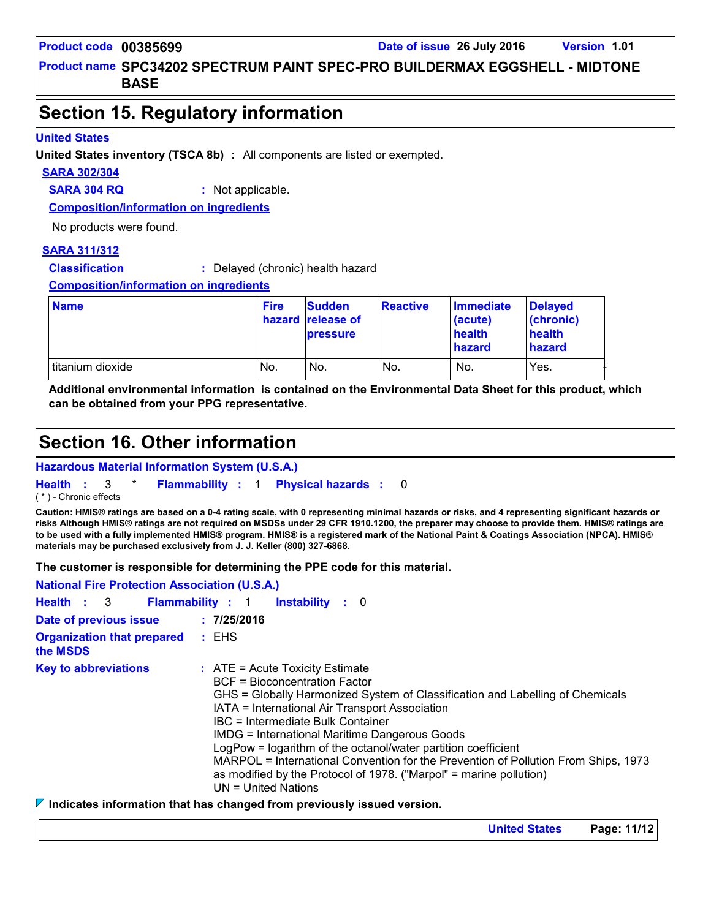Product name SPC34202 SPECTRUM PAINT SPEC-PRO BUILDERMAX EGGSHELL - MIDTONE **BASE**

### **Section 15. Regulatory information**

#### **United States**

**United States inventory (TSCA 8b) :** All components are listed or exempted.

#### **SARA 302/304**

**SARA 304 RQ :** Not applicable.

**Composition/information on ingredients**

No products were found.

#### **SARA 311/312**

**Classification :** Delayed (chronic) health hazard

**Composition/information on ingredients**

| <b>Name</b>      | <b>Fire</b> | <b>Sudden</b><br>hazard release of<br><b>pressure</b> | <b>Reactive</b> | Immediate<br>(acute)<br>health<br>hazard | <b>Delaved</b><br>(chronic)<br>health<br>hazard |
|------------------|-------------|-------------------------------------------------------|-----------------|------------------------------------------|-------------------------------------------------|
| titanium dioxide | No.         | No.                                                   | No.             | No.                                      | Yes.                                            |

**Additional environmental information is contained on the Environmental Data Sheet for this product, which can be obtained from your PPG representative.**

### **Section 16. Other information**

**Hazardous Material Information System (U.S.A.)**

**Health** : 3 \* **Flammability** : 1 **Physical hazards** : 0 0

( \* ) - Chronic effects

**Caution: HMIS® ratings are based on a 0-4 rating scale, with 0 representing minimal hazards or risks, and 4 representing significant hazards or risks Although HMIS® ratings are not required on MSDSs under 29 CFR 1910.1200, the preparer may choose to provide them. HMIS® ratings are to be used with a fully implemented HMIS® program. HMIS® is a registered mark of the National Paint & Coatings Association (NPCA). HMIS® materials may be purchased exclusively from J. J. Keller (800) 327-6868.**

**The customer is responsible for determining the PPE code for this material.**

| <b>National Fire Protection Association (U.S.A.)</b> |                                                                                                                                                                                                                                                                                                                                                                                                                                                                                                                                                                        |
|------------------------------------------------------|------------------------------------------------------------------------------------------------------------------------------------------------------------------------------------------------------------------------------------------------------------------------------------------------------------------------------------------------------------------------------------------------------------------------------------------------------------------------------------------------------------------------------------------------------------------------|
| Health : 3                                           | <b>Flammability: 1</b><br><b>Instability</b> : 0                                                                                                                                                                                                                                                                                                                                                                                                                                                                                                                       |
| Date of previous issue                               | : 7/25/2016                                                                                                                                                                                                                                                                                                                                                                                                                                                                                                                                                            |
| <b>Organization that prepared</b><br>the MSDS        | : EHS                                                                                                                                                                                                                                                                                                                                                                                                                                                                                                                                                                  |
| <b>Key to abbreviations</b>                          | $:$ ATE = Acute Toxicity Estimate<br><b>BCF</b> = Bioconcentration Factor<br>GHS = Globally Harmonized System of Classification and Labelling of Chemicals<br>IATA = International Air Transport Association<br><b>IBC</b> = Intermediate Bulk Container<br><b>IMDG = International Maritime Dangerous Goods</b><br>LogPow = logarithm of the octanol/water partition coefficient<br>MARPOL = International Convention for the Prevention of Pollution From Ships, 1973<br>as modified by the Protocol of 1978. ("Marpol" = marine pollution)<br>$UN = United Nations$ |
|                                                      |                                                                                                                                                                                                                                                                                                                                                                                                                                                                                                                                                                        |

#### **Indicates information that has changed from previously issued version.**

**United States Page: 11/12**